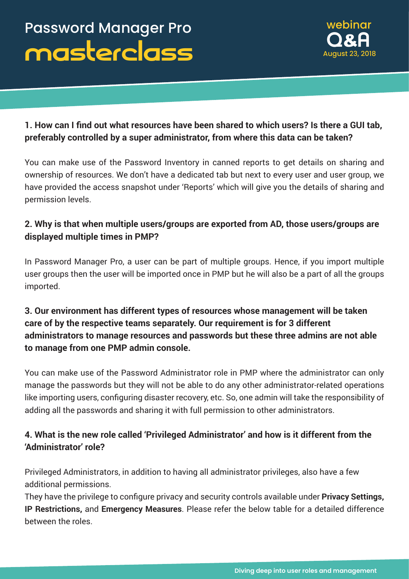

## **1. How can I find out what resources have been shared to which users? Is there a GUI tab, preferably controlled by a super administrator, from where this data can be taken?**

You can make use of the Password Inventory in canned reports to get details on sharing and ownership of resources. We don't have a dedicated tab but next to every user and user group, we have provided the access snapshot under 'Reports' which will give you the details of sharing and permission levels.

### **2. Why is that when multiple users/groups are exported from AD, those users/groups are displayed multiple times in PMP?**

In Password Manager Pro, a user can be part of multiple groups. Hence, if you import multiple user groups then the user will be imported once in PMP but he will also be a part of all the groups imported.

## **3. Our environment has different types of resources whose management will be taken care of by the respective teams separately. Our requirement is for 3 different administrators to manage resources and passwords but these three admins are not able to manage from one PMP admin console.**

You can make use of the Password Administrator role in PMP where the administrator can only manage the passwords but they will not be able to do any other administrator-related operations like importing users, configuring disaster recovery, etc. So, one admin will take the responsibility of adding all the passwords and sharing it with full permission to other administrators.

## **4. What is the new role called 'Privileged Administrator' and how is it different from the 'Administrator' role?**

Privileged Administrators, in addition to having all administrator privileges, also have a few additional permissions.

They have the privilege to configure privacy and security controls available under **Privacy Settings, IP Restrictions,** and **Emergency Measures**. Please refer the below table for a detailed difference between the roles.